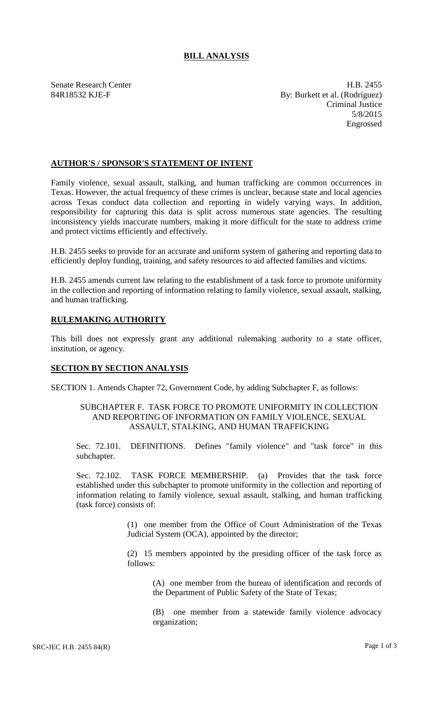## **BILL ANALYSIS**

Senate Research Center **H.B. 2455** 84R18532 KJE-F By: Burkett et al. (Rodríguez) Criminal Justice 5/8/2015 Engrossed

### **AUTHOR'S / SPONSOR'S STATEMENT OF INTENT**

Family violence, sexual assault, stalking, and human trafficking are common occurrences in Texas. However, the actual frequency of these crimes is unclear, because state and local agencies across Texas conduct data collection and reporting in widely varying ways. In addition, responsibility for capturing this data is split across numerous state agencies. The resulting inconsistency yields inaccurate numbers, making it more difficult for the state to address crime and protect victims efficiently and effectively.

H.B. 2455 seeks to provide for an accurate and uniform system of gathering and reporting data to efficiently deploy funding, training, and safety resources to aid affected families and victims.

H.B. 2455 amends current law relating to the establishment of a task force to promote uniformity in the collection and reporting of information relating to family violence, sexual assault, stalking, and human trafficking.

# **RULEMAKING AUTHORITY**

This bill does not expressly grant any additional rulemaking authority to a state officer, institution, or agency.

### **SECTION BY SECTION ANALYSIS**

SECTION 1. Amends Chapter 72, Government Code, by adding Subchapter F, as follows:

### SUBCHAPTER F. TASK FORCE TO PROMOTE UNIFORMITY IN COLLECTION AND REPORTING OF INFORMATION ON FAMILY VIOLENCE, SEXUAL ASSAULT, STALKING, AND HUMAN TRAFFICKING

Sec. 72.101. DEFINITIONS. Defines "family violence" and "task force" in this subchapter.

Sec. 72.102. TASK FORCE MEMBERSHIP. (a) Provides that the task force established under this subchapter to promote uniformity in the collection and reporting of information relating to family violence, sexual assault, stalking, and human trafficking (task force) consists of:

> (1) one member from the Office of Court Administration of the Texas Judicial System (OCA), appointed by the director;

> (2) 15 members appointed by the presiding officer of the task force as follows:

(A) one member from the bureau of identification and records of the Department of Public Safety of the State of Texas;

(B) one member from a statewide family violence advocacy organization;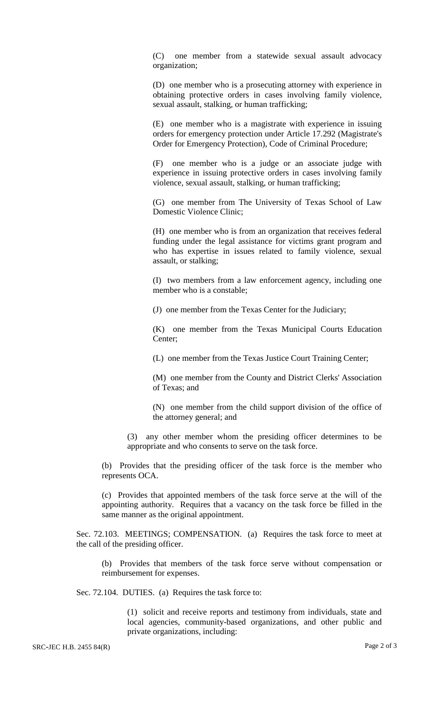(C) one member from a statewide sexual assault advocacy organization;

(D) one member who is a prosecuting attorney with experience in obtaining protective orders in cases involving family violence, sexual assault, stalking, or human trafficking;

(E) one member who is a magistrate with experience in issuing orders for emergency protection under Article 17.292 (Magistrate's Order for Emergency Protection), Code of Criminal Procedure;

(F) one member who is a judge or an associate judge with experience in issuing protective orders in cases involving family violence, sexual assault, stalking, or human trafficking;

(G) one member from The University of Texas School of Law Domestic Violence Clinic;

(H) one member who is from an organization that receives federal funding under the legal assistance for victims grant program and who has expertise in issues related to family violence, sexual assault, or stalking;

(I) two members from a law enforcement agency, including one member who is a constable;

(J) one member from the Texas Center for the Judiciary;

(K) one member from the Texas Municipal Courts Education Center;

(L) one member from the Texas Justice Court Training Center;

(M) one member from the County and District Clerks' Association of Texas; and

(N) one member from the child support division of the office of the attorney general; and

(3) any other member whom the presiding officer determines to be appropriate and who consents to serve on the task force.

(b) Provides that the presiding officer of the task force is the member who represents OCA.

(c) Provides that appointed members of the task force serve at the will of the appointing authority. Requires that a vacancy on the task force be filled in the same manner as the original appointment.

Sec. 72.103. MEETINGS; COMPENSATION. (a) Requires the task force to meet at the call of the presiding officer.

(b) Provides that members of the task force serve without compensation or reimbursement for expenses.

Sec. 72.104. DUTIES. (a) Requires the task force to:

(1) solicit and receive reports and testimony from individuals, state and local agencies, community-based organizations, and other public and private organizations, including: